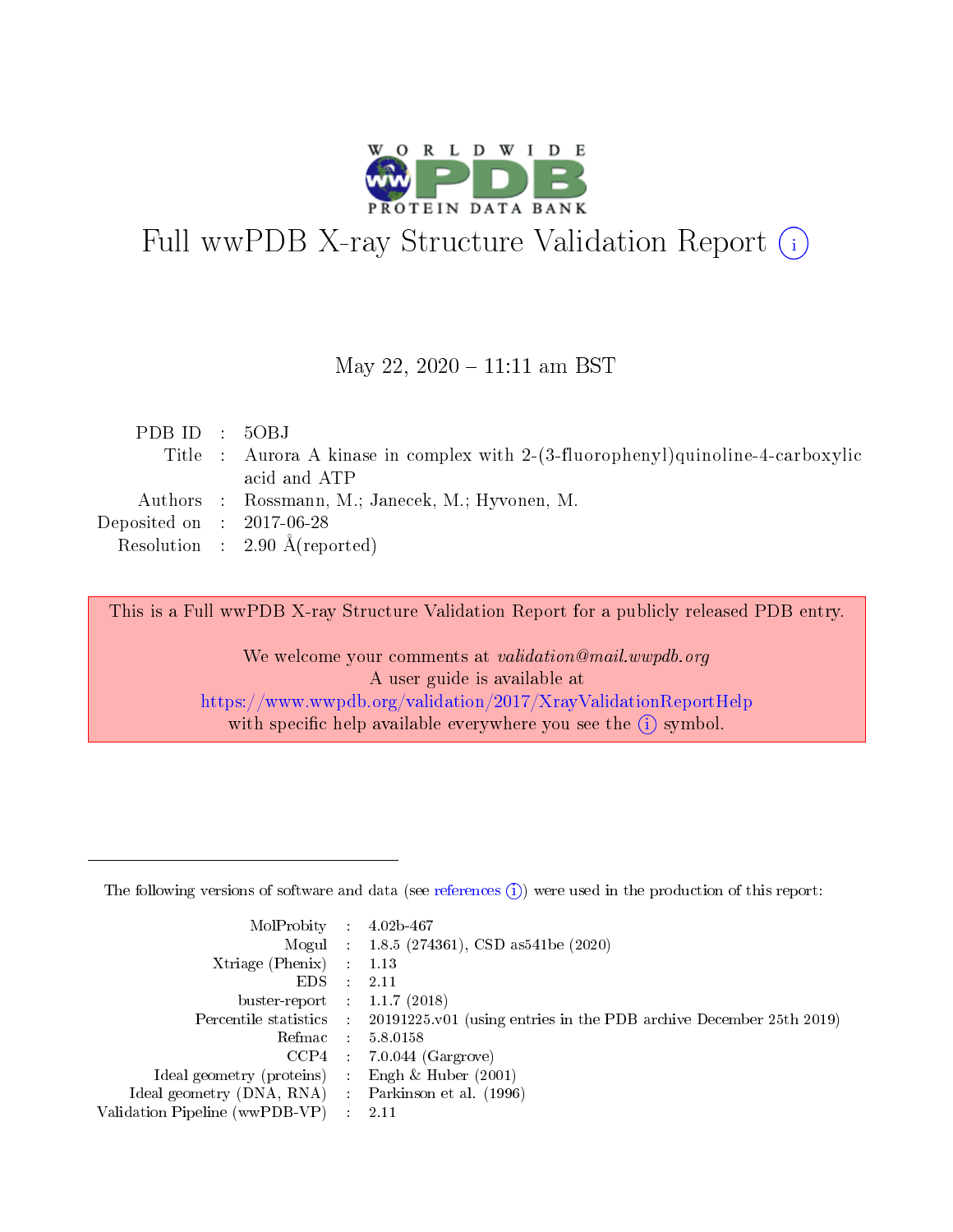

# Full wwPDB X-ray Structure Validation Report (i)

#### May 22, 2020 - 11:11 am BST

| PDBID : 5OBJ                         |                                                                                  |
|--------------------------------------|----------------------------------------------------------------------------------|
|                                      | Title : Aurora A kinase in complex with 2-(3-fluorophenyl)quinoline-4-carboxylic |
|                                      | acid and ATP                                                                     |
|                                      | Authors : Rossmann, M.; Janecek, M.; Hyvonen, M.                                 |
| Deposited on $\therefore$ 2017-06-28 |                                                                                  |
|                                      | Resolution : $2.90 \text{ Å}$ (reported)                                         |
|                                      |                                                                                  |

This is a Full wwPDB X-ray Structure Validation Report for a publicly released PDB entry.

We welcome your comments at validation@mail.wwpdb.org A user guide is available at <https://www.wwpdb.org/validation/2017/XrayValidationReportHelp> with specific help available everywhere you see the  $(i)$  symbol.

The following versions of software and data (see [references](https://www.wwpdb.org/validation/2017/XrayValidationReportHelp#references)  $(1)$ ) were used in the production of this report:

| $MolProbability$ 4.02b-467     |                          |                                                                                            |
|--------------------------------|--------------------------|--------------------------------------------------------------------------------------------|
|                                |                          | Mogul : 1.8.5 (274361), CSD as 541be (2020)                                                |
| $X$ triage (Phenix) :          |                          | 1.13                                                                                       |
| EDS.                           | ÷                        | 2.11                                                                                       |
| buster-report : $1.1.7(2018)$  |                          |                                                                                            |
|                                |                          | Percentile statistics : 20191225.v01 (using entries in the PDB archive December 25th 2019) |
| Refmac                         |                          | 5.8.0158                                                                                   |
| CCP4                           |                          | $7.0.044$ (Gargrove)                                                                       |
| Ideal geometry (proteins)      |                          | Engh $\&$ Huber (2001)                                                                     |
| Ideal geometry (DNA, RNA) :    |                          | Parkinson et al. (1996)                                                                    |
| Validation Pipeline (wwPDB-VP) | $\mathcal{L}_{\rm{max}}$ | -2.11                                                                                      |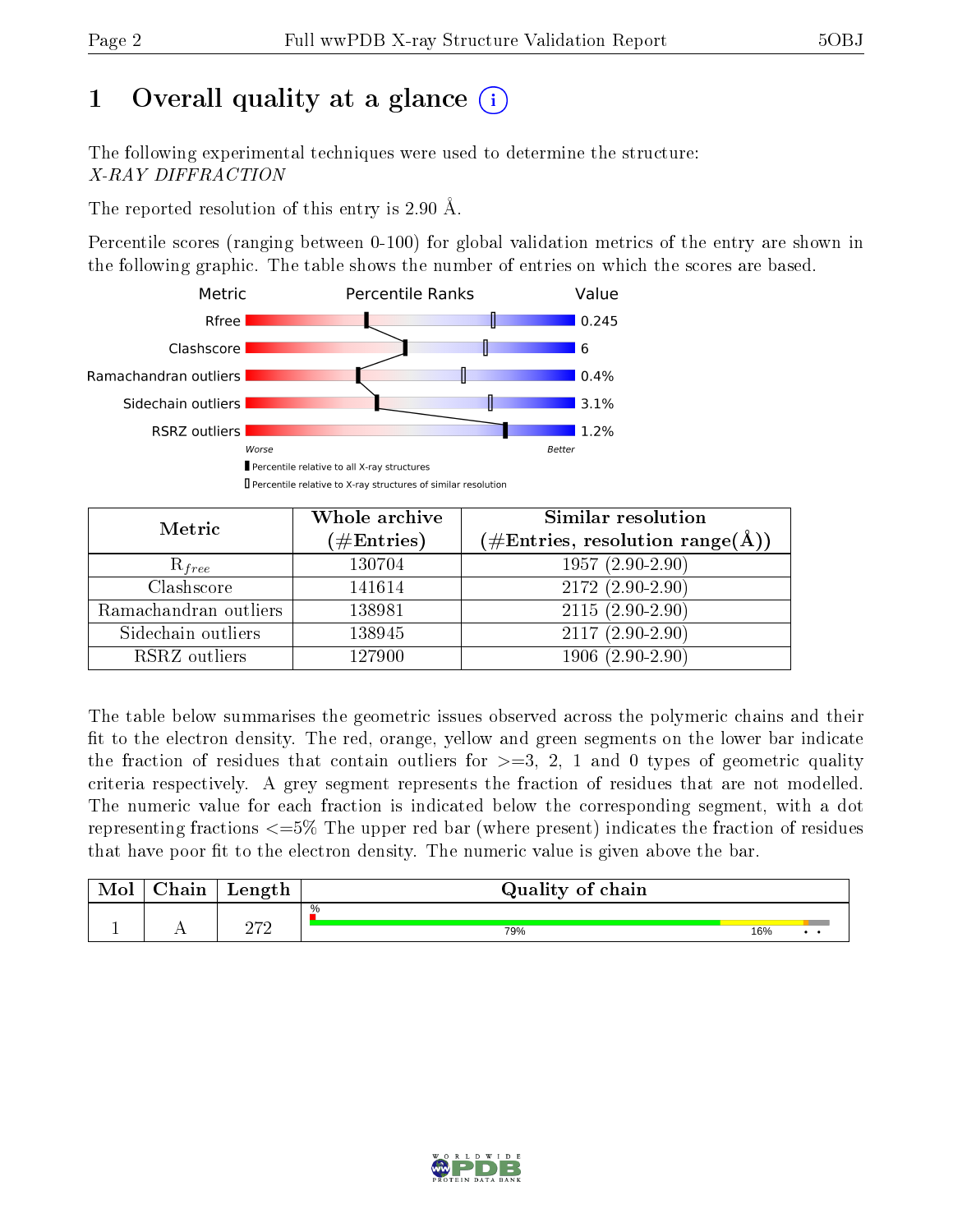# 1 [O](https://www.wwpdb.org/validation/2017/XrayValidationReportHelp#overall_quality)verall quality at a glance  $(i)$

The following experimental techniques were used to determine the structure: X-RAY DIFFRACTION

The reported resolution of this entry is 2.90 Å.

Percentile scores (ranging between 0-100) for global validation metrics of the entry are shown in the following graphic. The table shows the number of entries on which the scores are based.



| Metric                | Whole archive<br>$(\#\text{Entries})$ | Similar resolution<br>(#Entries, resolution range( $\AA$ )) |
|-----------------------|---------------------------------------|-------------------------------------------------------------|
| $R_{free}$            | 130704                                | $1957(2.90-2.90)$                                           |
| Clashscore            | 141614                                | $2172(2.90-2.90)$                                           |
| Ramachandran outliers | 138981                                | $2115(2.90-2.90)$                                           |
| Sidechain outliers    | 138945                                | $2117(2.90-2.90)$                                           |
| RSRZ outliers         | 127900                                | $1906(2.90-2.90)$                                           |

The table below summarises the geometric issues observed across the polymeric chains and their fit to the electron density. The red, orange, yellow and green segments on the lower bar indicate the fraction of residues that contain outliers for  $>=3, 2, 1$  and 0 types of geometric quality criteria respectively. A grey segment represents the fraction of residues that are not modelled. The numeric value for each fraction is indicated below the corresponding segment, with a dot representing fractions  $\epsilon=5\%$  The upper red bar (where present) indicates the fraction of residues that have poor fit to the electron density. The numeric value is given above the bar.

| Mol | $\cap$ hain | Length | Quality of chain |     |  |
|-----|-------------|--------|------------------|-----|--|
|     |             |        | %                |     |  |
|     |             | ∩רח    | 79%              | 16% |  |

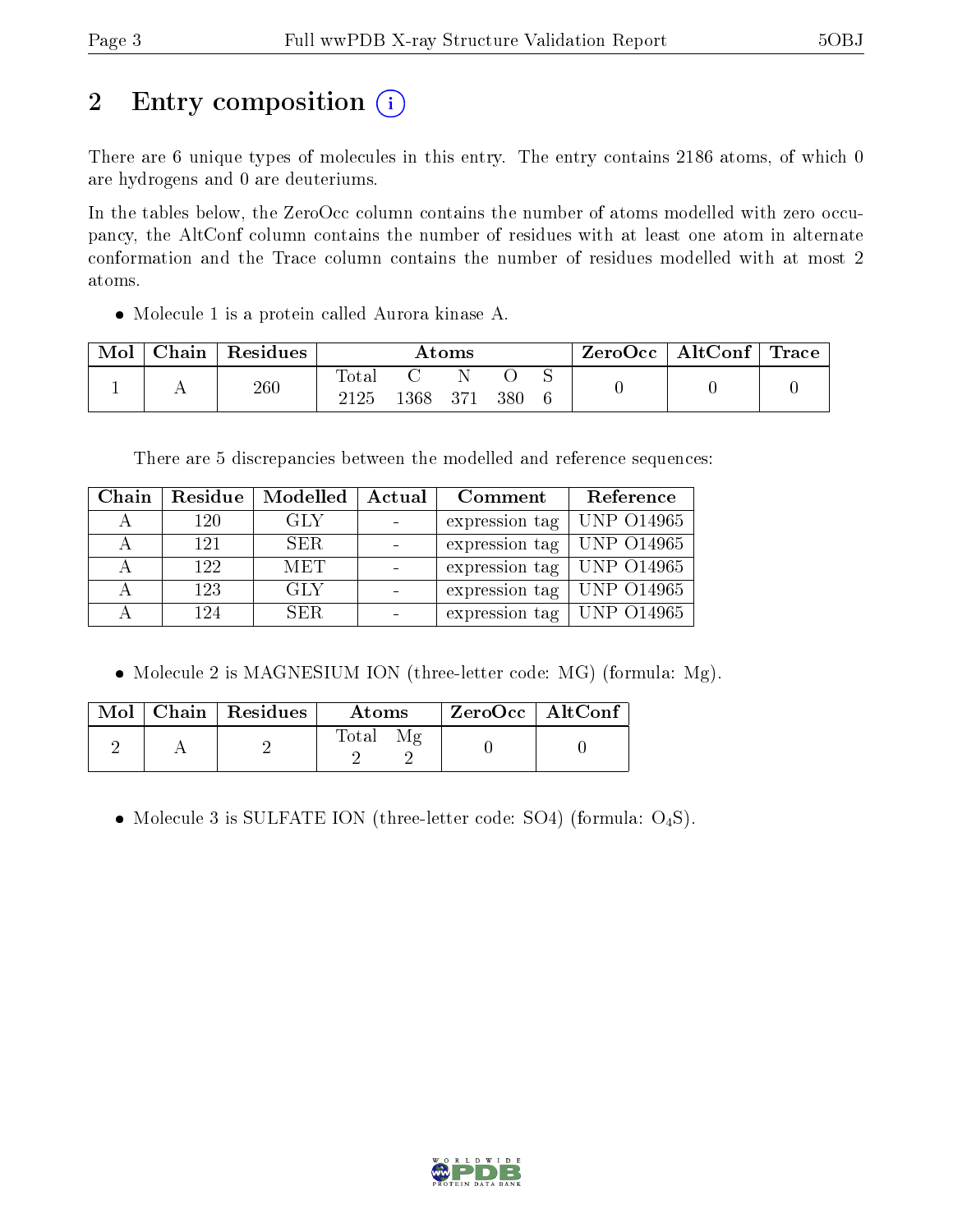# 2 Entry composition (i)

There are 6 unique types of molecules in this entry. The entry contains 2186 atoms, of which 0 are hydrogens and 0 are deuteriums.

In the tables below, the ZeroOcc column contains the number of atoms modelled with zero occupancy, the AltConf column contains the number of residues with at least one atom in alternate conformation and the Trace column contains the number of residues modelled with at most 2 atoms.

Molecule 1 is a protein called Aurora kinase A.

| Mol | Chain | $\perp$ Residues | Atoms                |      |     | $\text{ZeroOcc} \mid \text{AltConf} \mid \text{Trace}$ |  |  |  |
|-----|-------|------------------|----------------------|------|-----|--------------------------------------------------------|--|--|--|
|     |       | $_{260}$         | <b>Total</b><br>2125 | 1368 | 371 | 380                                                    |  |  |  |

There are 5 discrepancies between the modelled and reference sequences:

| Chain | Residue | Modelled   | Actual | Comment                                  | Reference         |
|-------|---------|------------|--------|------------------------------------------|-------------------|
|       | 120     | GLY        |        | expression tag                           | <b>UNP 014965</b> |
|       | 121     | SER.       |        | expression tag                           | <b>UNP 014965</b> |
|       | 122     | <b>MET</b> |        | expression tag   UNP $\overline{O14965}$ |                   |
|       | 123     | GLY        |        | expression tag                           | <b>UNP 014965</b> |
|       | 124     | SER.       |        | expression tag                           | <b>UNP 014965</b> |

• Molecule 2 is MAGNESIUM ION (three-letter code: MG) (formula: Mg).

|  | $Mol$   Chain   Residues | Atoms        | $\rm ZeroOcc \mid AltConf$ |  |
|--|--------------------------|--------------|----------------------------|--|
|  |                          | <b>Total</b> |                            |  |

• Molecule 3 is SULFATE ION (three-letter code: SO4) (formula:  $O_4S$ ).

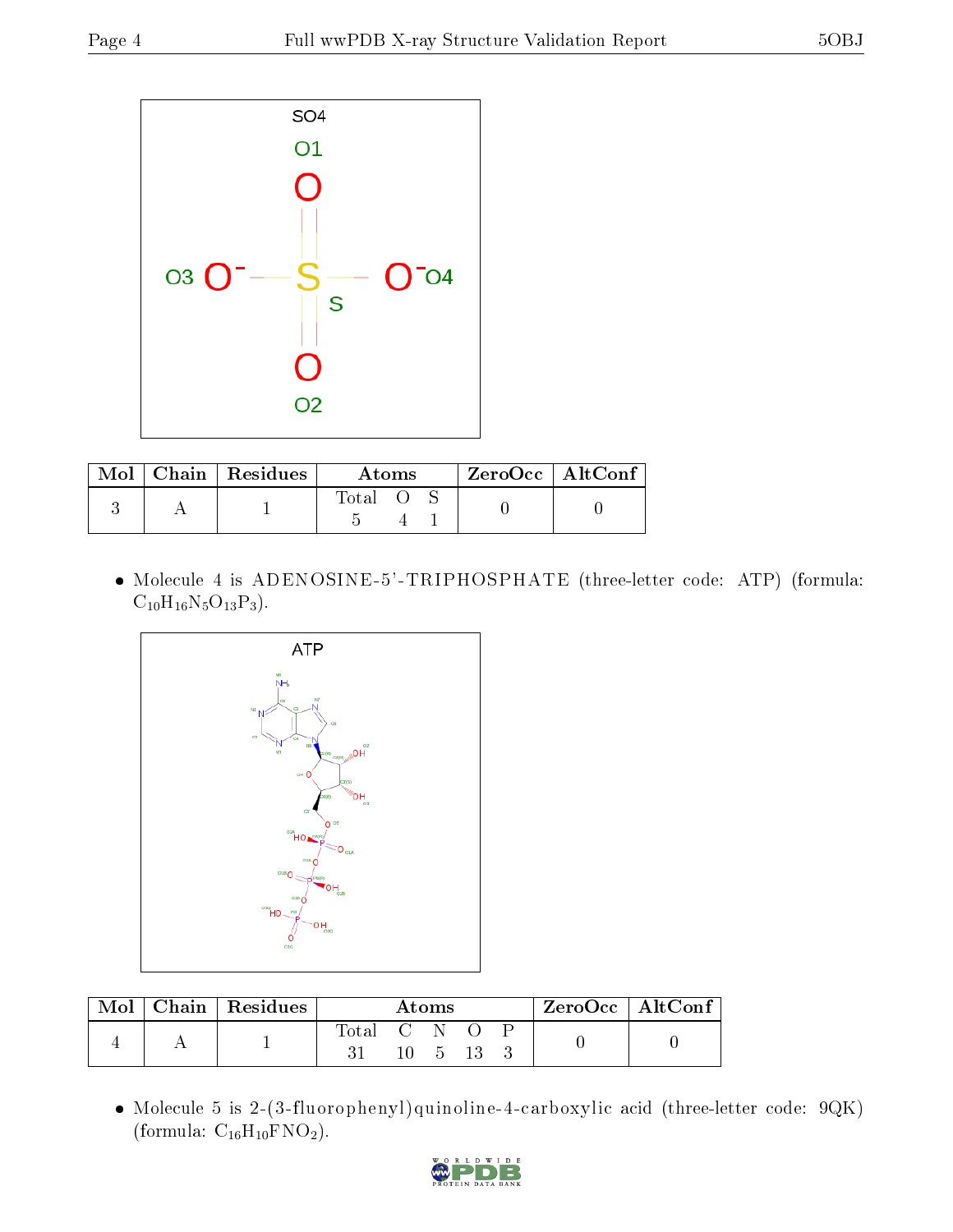

| Mol | Chain   Residues | Atoms |  |  | $ZeroOcc$   AltConf |  |
|-----|------------------|-------|--|--|---------------------|--|
|     |                  | Total |  |  |                     |  |

 Molecule 4 is ADENOSINE-5'-TRIPHOSPHATE (three-letter code: ATP) (formula:  $\rm C_{10}H_{16}N_5O_{13}P_3).$ 



| $\blacksquare$ Mol $\blacksquare$ | $\mid$ Chain $\mid$ Residues | Atoms       |  |  | ZeroOcc   AltConf             |  |  |  |
|-----------------------------------|------------------------------|-------------|--|--|-------------------------------|--|--|--|
|                                   |                              | Total C N O |  |  | $10 \quad 5 \quad 13 \quad 3$ |  |  |  |

 Molecule 5 is 2-(3-fluorophenyl)quinoline-4-carboxylic acid (three-letter code: 9QK) (formula:  $C_{16}H_{10}FNO_2$ ).

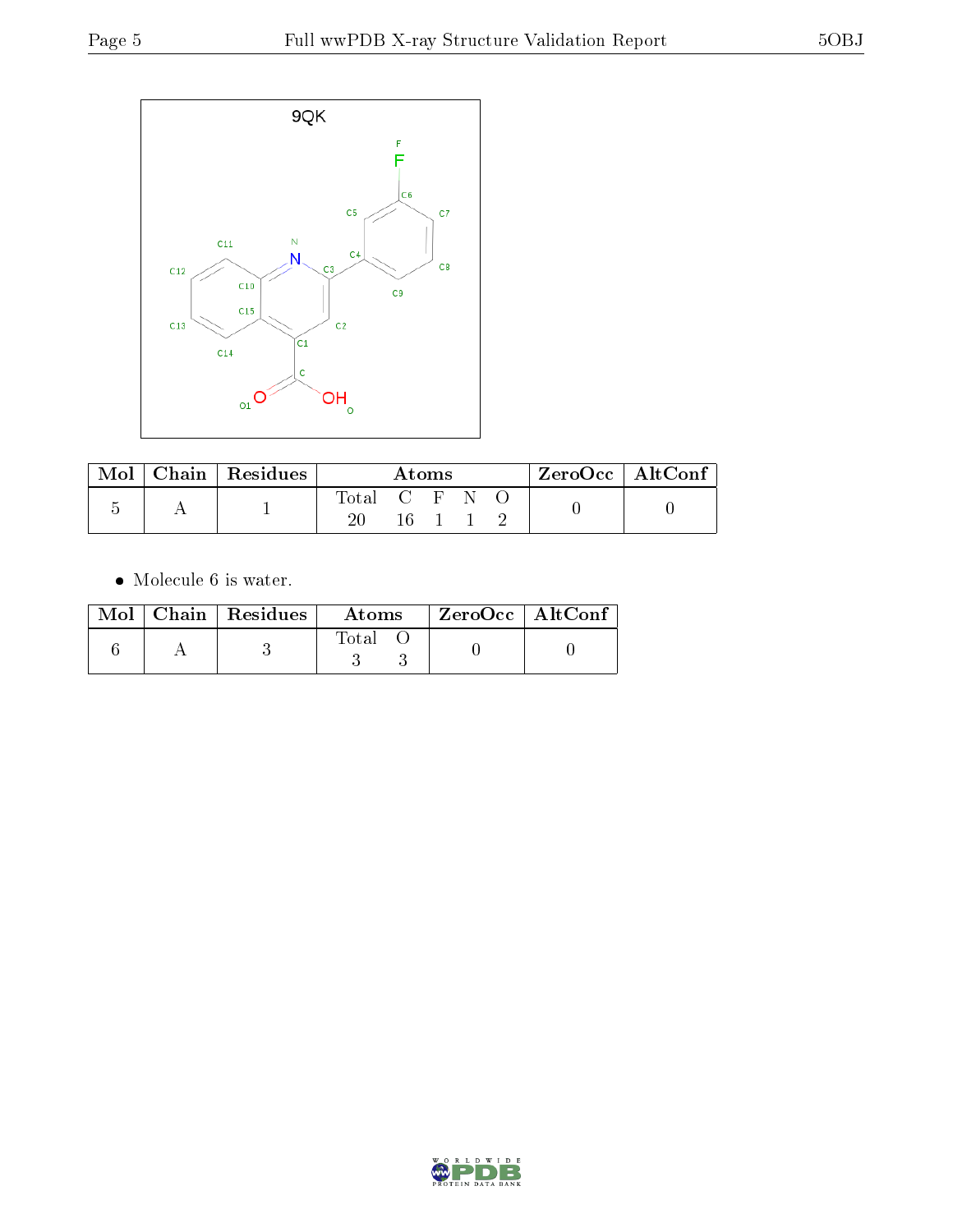

| Mol | Chain   Residues |               |     | Atoms |  | $ZeroOcc \   \ AltConf \  $ |
|-----|------------------|---------------|-----|-------|--|-----------------------------|
|     |                  | Total C F N O |     |       |  |                             |
|     |                  |               | 16. |       |  |                             |

 $\bullet\,$  Molecule 6 is water.

|  | $Mol$   Chain   Residues | Atoms | $^{\shortmid}$ ZeroOcc $\mid$ AltConf $\mid$ |  |
|--|--------------------------|-------|----------------------------------------------|--|
|  |                          | Total |                                              |  |

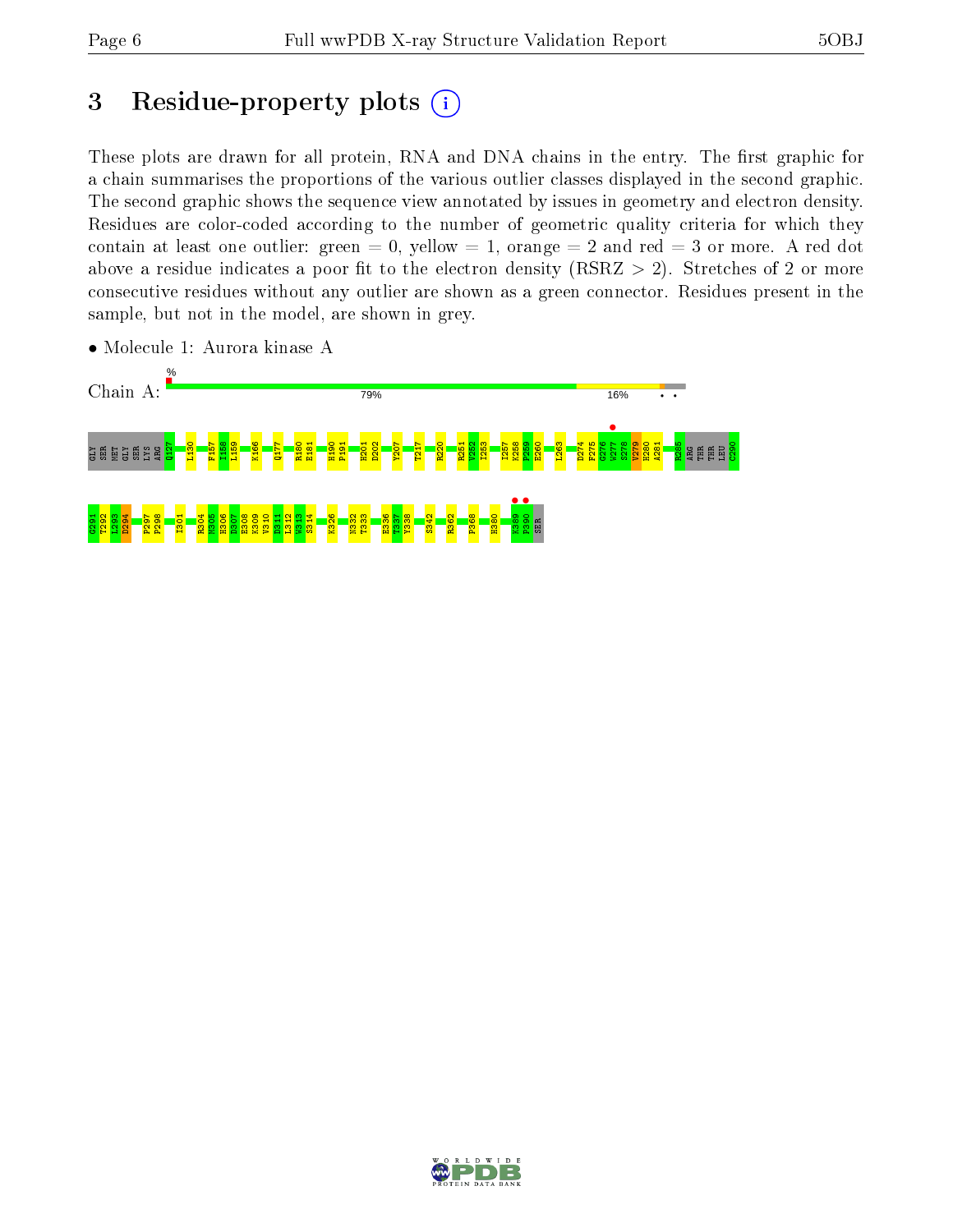# 3 Residue-property plots  $(i)$

These plots are drawn for all protein, RNA and DNA chains in the entry. The first graphic for a chain summarises the proportions of the various outlier classes displayed in the second graphic. The second graphic shows the sequence view annotated by issues in geometry and electron density. Residues are color-coded according to the number of geometric quality criteria for which they contain at least one outlier: green  $= 0$ , yellow  $= 1$ , orange  $= 2$  and red  $= 3$  or more. A red dot above a residue indicates a poor fit to the electron density (RSRZ  $> 2$ ). Stretches of 2 or more consecutive residues without any outlier are shown as a green connector. Residues present in the sample, but not in the model, are shown in grey.



• Molecule 1: Aurora kinase A

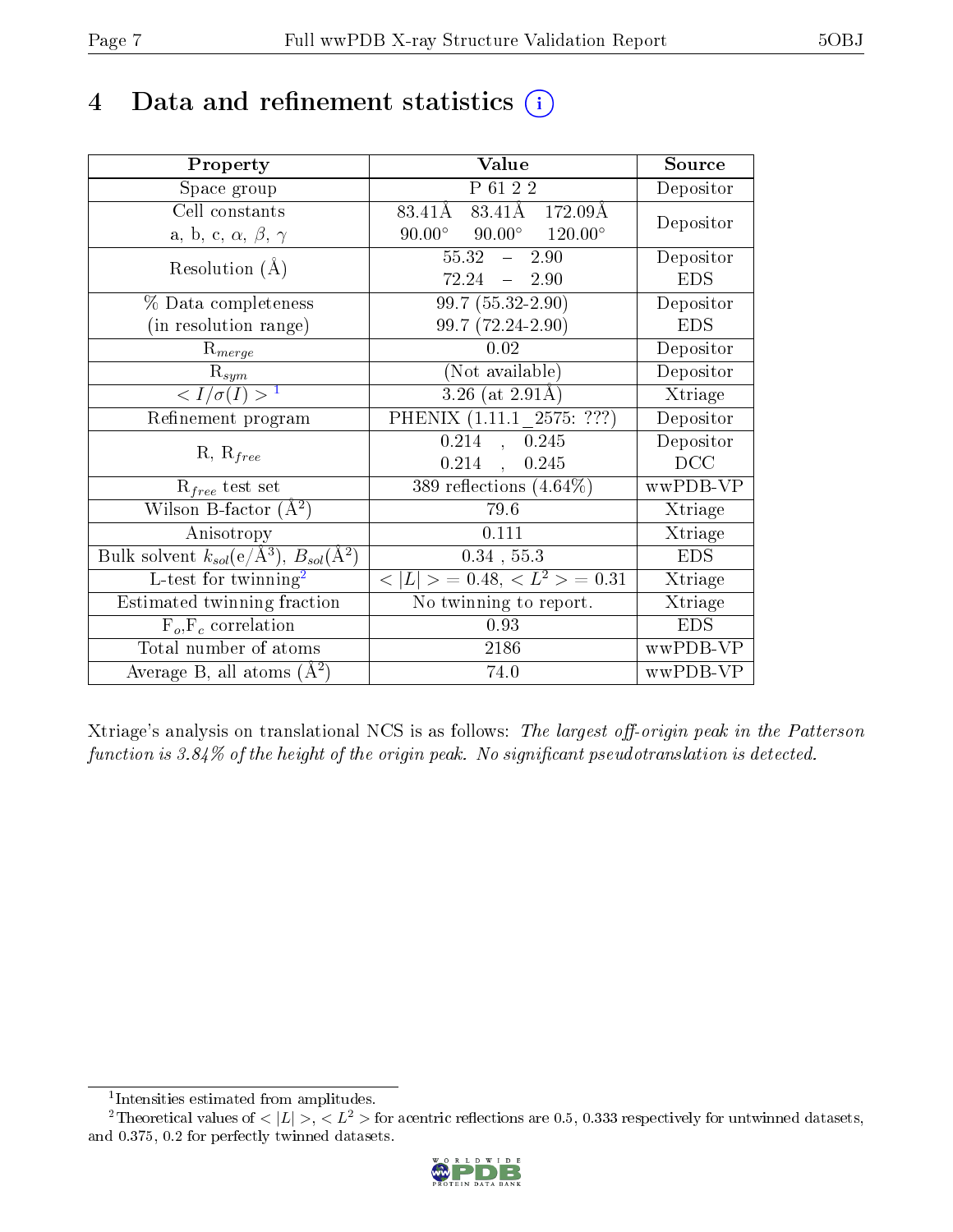## 4 Data and refinement statistics  $(i)$

| Property                                                             | Value                                            | Source     |
|----------------------------------------------------------------------|--------------------------------------------------|------------|
| Space group                                                          | P 61 2 2                                         | Depositor  |
| Cell constants                                                       | 83.41Å 172.09Å<br>83.41Å                         | Depositor  |
| a, b, c, $\alpha$ , $\beta$ , $\gamma$                               | $90.00^{\circ}$ $90.00^{\circ}$ $120.00^{\circ}$ |            |
| Resolution $(A)$                                                     | $55.32 - 2.90$                                   | Depositor  |
|                                                                      | $72.24 - 2.90$                                   | <b>EDS</b> |
| % Data completeness                                                  | $99.7(55.32-2.90)$                               | Depositor  |
| (in resolution range)                                                | 99.7 (72.24-2.90)                                | <b>EDS</b> |
| $R_{merge}$                                                          | 0.02                                             | Depositor  |
| $\mathrm{R}_{sym}$                                                   | (Not available)                                  | Depositor  |
| $\sqrt{I/\sigma}(I) > 1$                                             | $3.26$ (at $2.91\text{\AA}$ )                    | Xtriage    |
| Refinement program                                                   | PHENIX (1.11.1 2575: ???)                        | Depositor  |
| $R, R_{free}$                                                        | 0.214<br>, 0.245                                 | Depositor  |
|                                                                      | 0.214<br>0.245<br>$\mathbf{A}$                   | DCC        |
| $R_{free}$ test set                                                  | 389 reflections $(4.64\%)$                       | wwPDB-VP   |
| Wilson B-factor $(A^2)$                                              | 79.6                                             | Xtriage    |
| Anisotropy                                                           | 0.111                                            | Xtriage    |
| Bulk solvent $k_{sol}(e/\mathring{A}^3)$ , $B_{sol}(\mathring{A}^2)$ | $0.34$ , 55.3                                    | <b>EDS</b> |
| L-test for twinning <sup>2</sup>                                     | $< L >$ = 0.48, $< L2 >$ = 0.31                  | Xtriage    |
| Estimated twinning fraction                                          | No twinning to report.                           | Xtriage    |
| $F_o, F_c$ correlation                                               | 0.93                                             | <b>EDS</b> |
| Total number of atoms                                                | 2186                                             | wwPDB-VP   |
| Average B, all atoms $(A^2)$                                         | 74.0                                             | wwPDB-VP   |

Xtriage's analysis on translational NCS is as follows: The largest off-origin peak in the Patterson function is  $3.84\%$  of the height of the origin peak. No significant pseudotranslation is detected.

<sup>&</sup>lt;sup>2</sup>Theoretical values of  $\langle |L| \rangle$ ,  $\langle L^2 \rangle$  for acentric reflections are 0.5, 0.333 respectively for untwinned datasets, and 0.375, 0.2 for perfectly twinned datasets.



<span id="page-6-1"></span><span id="page-6-0"></span><sup>1</sup> Intensities estimated from amplitudes.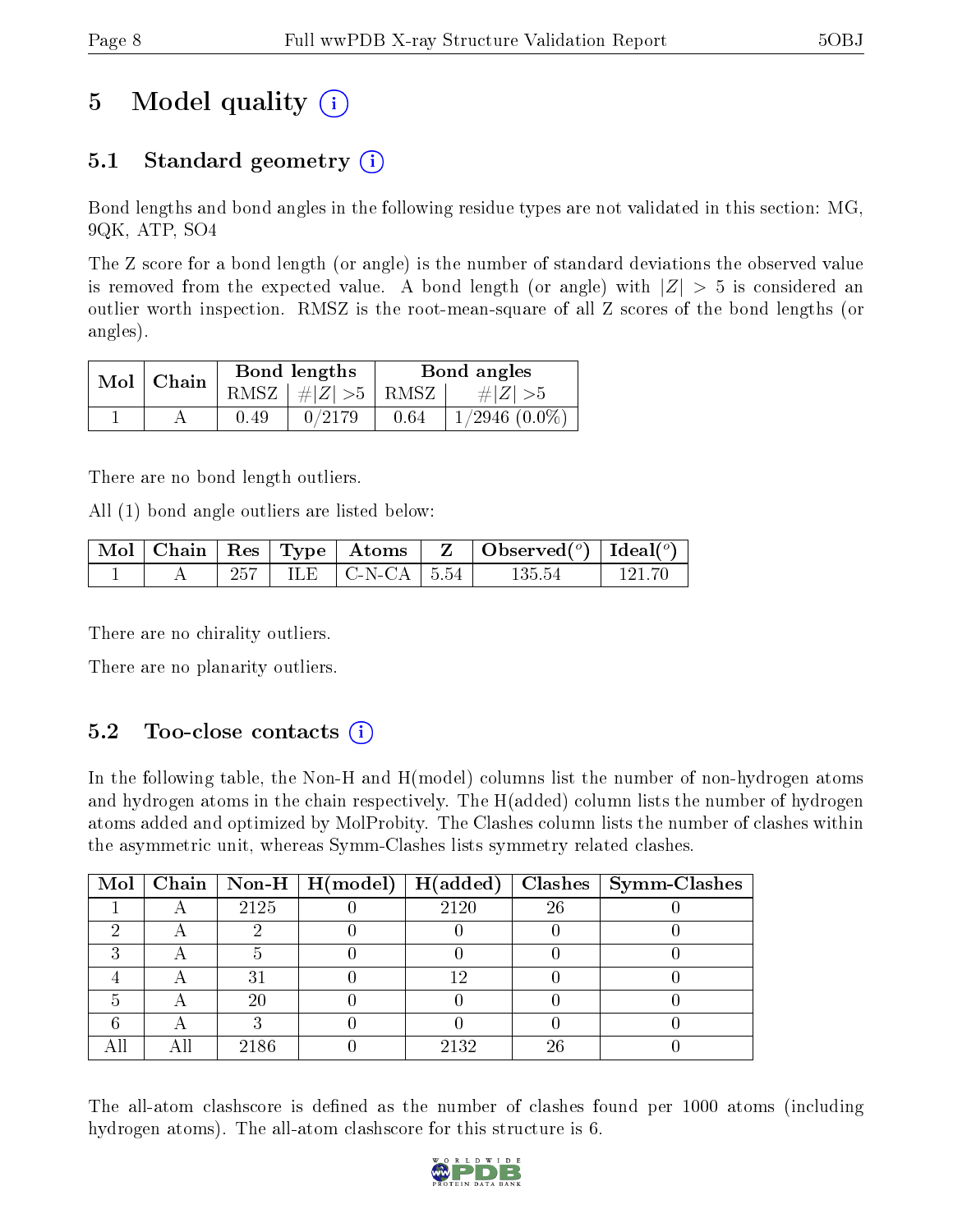# 5 Model quality  $(i)$

## 5.1 Standard geometry  $(i)$

Bond lengths and bond angles in the following residue types are not validated in this section: MG, 9QK, ATP, SO4

The Z score for a bond length (or angle) is the number of standard deviations the observed value is removed from the expected value. A bond length (or angle) with  $|Z| > 5$  is considered an outlier worth inspection. RMSZ is the root-mean-square of all Z scores of the bond lengths (or angles).

| $Mol$   Chain |      | Bond lengths                 | Bond angles |                    |  |
|---------------|------|------------------------------|-------------|--------------------|--|
|               |      | RMSZ $\mid \#Z \mid >5$ RMSZ |             | $\# Z  > 5$        |  |
|               | 0.49 | 0/2179                       | 0.64        | $1/2946$ $(0.0\%)$ |  |

There are no bond length outliers.

All (1) bond angle outliers are listed below:

|  |  |                           | $\mid$ Mol $\mid$ Chain $\mid$ Res $\mid$ Type $\mid$ Atoms $\mid$ Z $\mid$ Observed( $^o$ ) $\mid$ Ideal( $^o$ ) $\mid$ |          |
|--|--|---------------------------|--------------------------------------------------------------------------------------------------------------------------|----------|
|  |  | 257   ILE   C-N-CA   5.54 | 135.54                                                                                                                   | - 121 70 |

There are no chirality outliers.

There are no planarity outliers.

### $5.2$  Too-close contacts  $(i)$

In the following table, the Non-H and H(model) columns list the number of non-hydrogen atoms and hydrogen atoms in the chain respectively. The H(added) column lists the number of hydrogen atoms added and optimized by MolProbity. The Clashes column lists the number of clashes within the asymmetric unit, whereas Symm-Clashes lists symmetry related clashes.

|  |      | $\text{Mol} \mid \text{Chain} \mid \text{Non-H} \mid \text{H(model)} \mid \text{H(added)}$ |      |    | Clashes   Symm-Clashes |
|--|------|--------------------------------------------------------------------------------------------|------|----|------------------------|
|  | 2125 |                                                                                            | 2120 | 26 |                        |
|  |      |                                                                                            |      |    |                        |
|  |      |                                                                                            |      |    |                        |
|  | 2.   |                                                                                            | 1 ດ  |    |                        |
|  | 20   |                                                                                            |      |    |                        |
|  |      |                                                                                            |      |    |                        |
|  | 2186 |                                                                                            | 2132 | 26 |                        |

The all-atom clashscore is defined as the number of clashes found per 1000 atoms (including hydrogen atoms). The all-atom clashscore for this structure is 6.

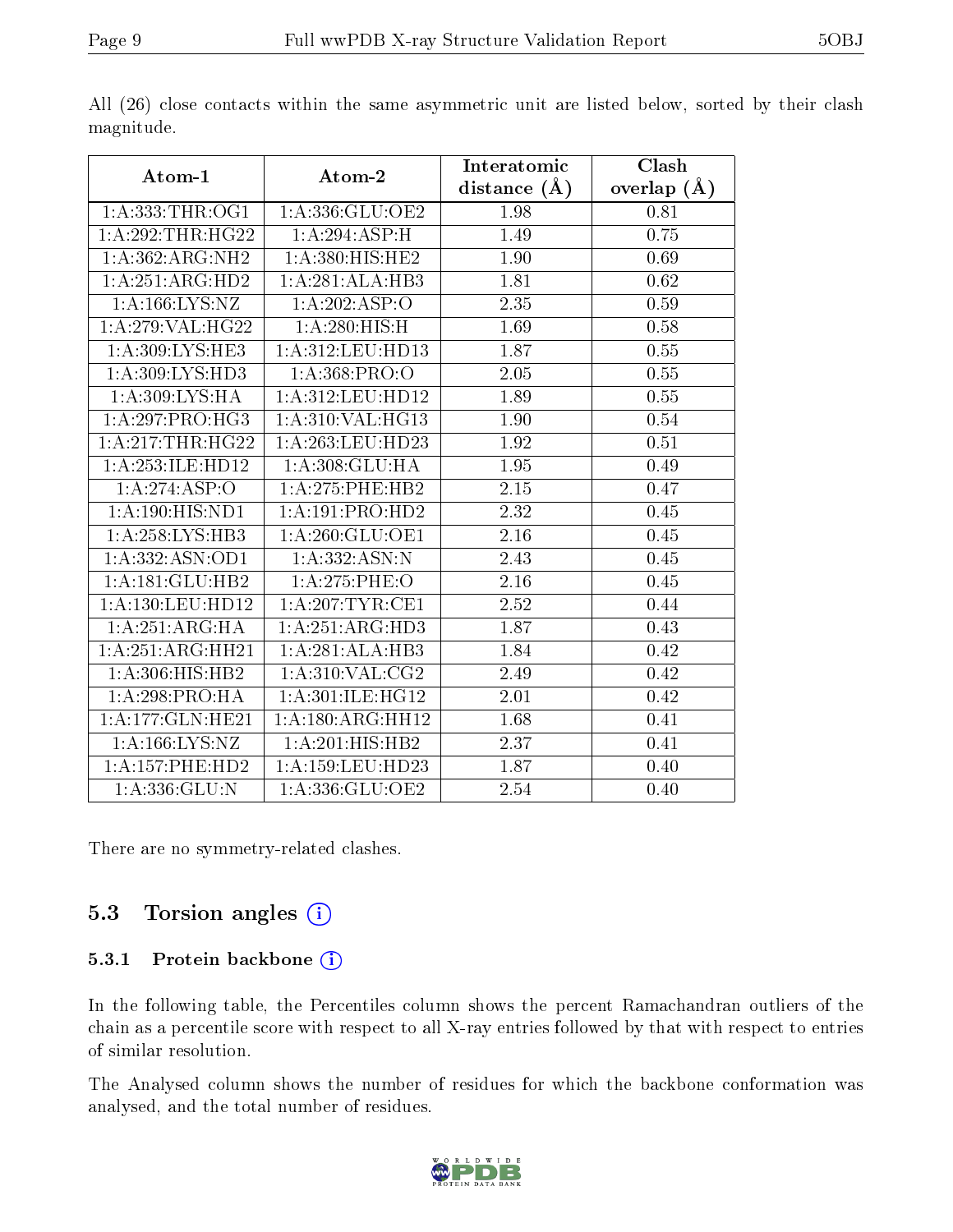|                              |                               | Interatomic       | Clash           |
|------------------------------|-------------------------------|-------------------|-----------------|
| Atom-1                       | Atom-2                        | distance $(A)$    | overlap $(\AA)$ |
| 1: A: 333: THR: OG1          | 1:A:336:GLU:OE2               | 1.98              | 0.81            |
| 1:A:292:THR:HG22             | 1:A:294:ASP:H                 | 1.49              | 0.75            |
| 1:A:362:ARG:NH2              | $1: A:380:HIS:\overline{HE2}$ | 1.90              | 0.69            |
| 1:A:251:ARG:HD2              | 1:A:281:ALA:HB3               | 1.81              | 0.62            |
| 1: A: 166: LYS: NZ           | 1:A:202:ASP:O                 | 2.35              | 0.59            |
| 1:A:279:VAL:HG22             | 1: A:280: HIS:H               | 1.69              | 0.58            |
| 1: A:309: LYS: HE3           | 1:A:312:LEU:HD13              | 1.87              | 0.55            |
| 1:A:309:LYS:HD3              | 1: A: 368: PRO:O              | 2.05              | 0.55            |
| 1: A:309: LYS: HA            | 1:A:312:LEU:HD12              | 1.89              | 0.55            |
| 1: A:297: PRO:HG3            | 1: A:310: VAL: HG13           | 1.90              | 0.54            |
| 1:A:217:THR:HG22             | 1:A:263:LEU:HD23              | 1.92              | 0.51            |
| 1: A:253: ILE:HD12           | 1: A:308: GLU:HA              | 1.95              | 0.49            |
| 1:A:274:ASP:O                | 1:A:275:PHE:HB2               | 2.15              | 0.47            |
| 1: A:190:HIS:ND1             | $1:A:191:P\overline{RO:HD2}$  | 2.32              | 0.45            |
| 1: A:258: LYS: HB3           | 1: A:260: GLU:OE1             | 2.16              | 0.45            |
| 1:A:332:ASN:OD1              | 1: A: 332: ASN:N              | 2.43              | 0.45            |
| 1:A:181:GLU:HB2              | $1: A:275:$ PHE:O             | 2.16              | 0.45            |
| $1: A: 130:$ LEU:HD $12$     | 1: A:207:TYR:CE1              | 2.52              | 0.44            |
| 1:A:251:ARG:HA               | 1:A:251:ARG:HD3               | 1.87              | 0.43            |
| 1:A:251:ARG:HH21             | 1:A:281:ALA:HB3               | 1.84              | 0.42            |
| $1:A:30\overline{6:H1S:HB2}$ | 1: A:310: VAL:CG2             | 2.49              | 0.42            |
| 1:A:298:PRO:HA               | 1: A:301: ILE: HG12           | 2.01              | 0.42            |
| 1:A:177:GLN:HE21             | 1: A:180:ARG:HH12             | 1.68              | 0.41            |
| 1:A:166:LYS:NZ               | 1:A:201:HIS:HB2               | 2.37              | 0.41            |
| 1: A: 157: PHE: HD2          | 1: A: 159: LEU: HD23          | $\overline{1.87}$ | 0.40            |
| 1: A: 336: GLU:N             | 1:A:336:GLU:OE2               | 2.54              | 0.40            |

All (26) close contacts within the same asymmetric unit are listed below, sorted by their clash magnitude.

There are no symmetry-related clashes.

#### 5.3 Torsion angles (i)

#### 5.3.1 Protein backbone (i)

In the following table, the Percentiles column shows the percent Ramachandran outliers of the chain as a percentile score with respect to all X-ray entries followed by that with respect to entries of similar resolution.

The Analysed column shows the number of residues for which the backbone conformation was analysed, and the total number of residues.

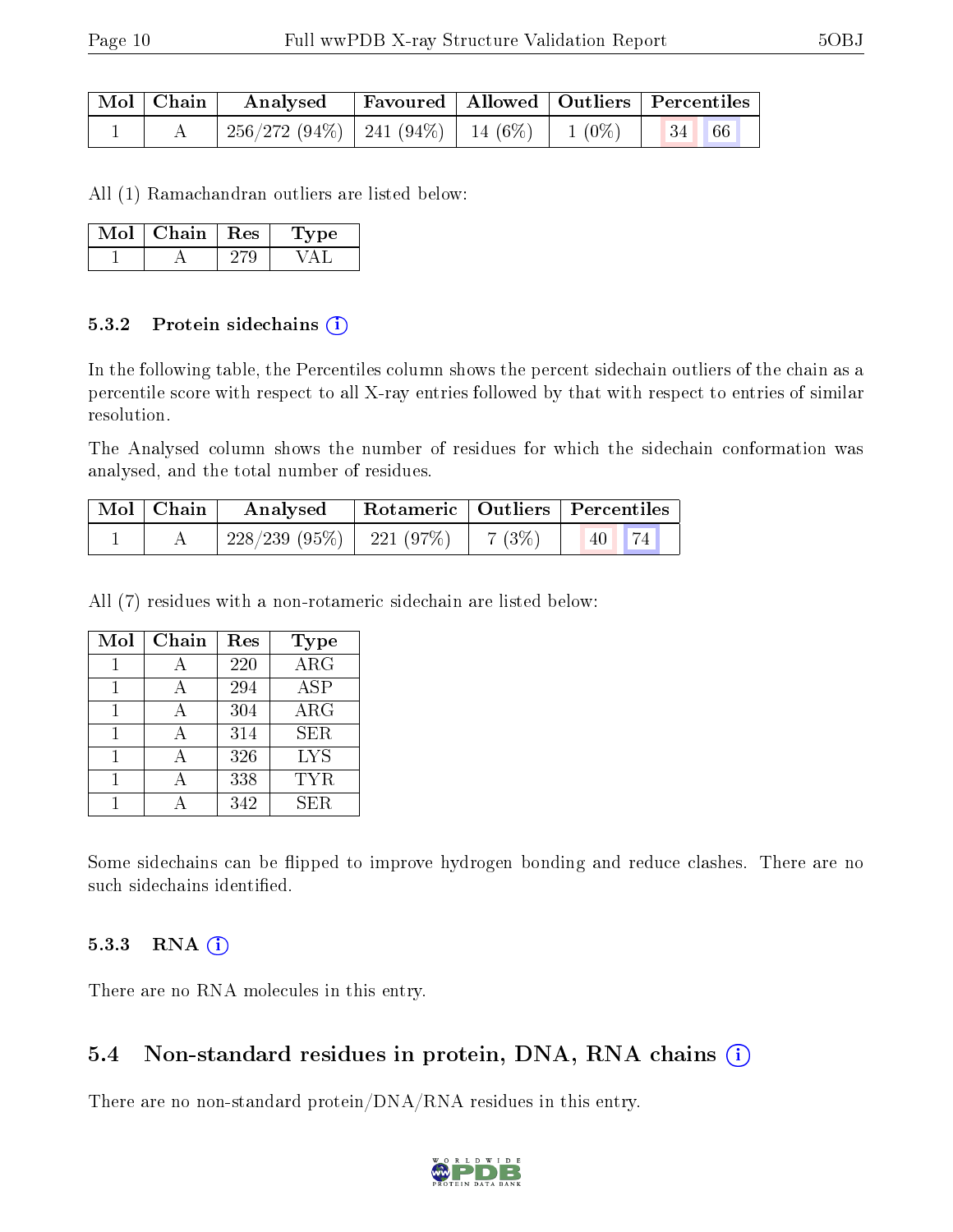| Mol   Chain | Analysed                                                 | Favoured   Allowed   Outliers   Percentiles |  |    |    |
|-------------|----------------------------------------------------------|---------------------------------------------|--|----|----|
|             | $\frac{1}{256}/272(94\%)$   241 (94%)   14 (6%)   1 (0%) |                                             |  | 34 | 66 |

All (1) Ramachandran outliers are listed below:

| Mol | Chain | $\pm$ Res $\pm$ | Type |
|-----|-------|-----------------|------|
|     |       |                 |      |

#### 5.3.2 Protein sidechains  $(i)$

In the following table, the Percentiles column shows the percent sidechain outliers of the chain as a percentile score with respect to all X-ray entries followed by that with respect to entries of similar resolution.

The Analysed column shows the number of residues for which the sidechain conformation was analysed, and the total number of residues.

| Mol   Chain | Analysed                      |       | $\mid$ Rotameric $\mid$ Outliers $\mid$ Percentiles |  |
|-------------|-------------------------------|-------|-----------------------------------------------------|--|
|             | $228/239$ (95\%)   221 (97\%) | 7(3%) | 40 74                                               |  |

All (7) residues with a non-rotameric sidechain are listed below:

| Mol | Chain | Res | <b>Type</b>           |
|-----|-------|-----|-----------------------|
|     |       | 220 | $\overline{\rm{ARG}}$ |
|     |       | 294 | <b>ASP</b>            |
|     | А     | 304 | $\rm{ARG}$            |
|     |       | 314 | <b>SER</b>            |
|     |       | 326 | <b>LYS</b>            |
|     |       | 338 | <b>TYR</b>            |
|     |       | 342 | SER.                  |

Some sidechains can be flipped to improve hydrogen bonding and reduce clashes. There are no such sidechains identified.

#### $5.3.3$  RNA  $(i)$

There are no RNA molecules in this entry.

#### 5.4 Non-standard residues in protein, DNA, RNA chains  $(i)$

There are no non-standard protein/DNA/RNA residues in this entry.

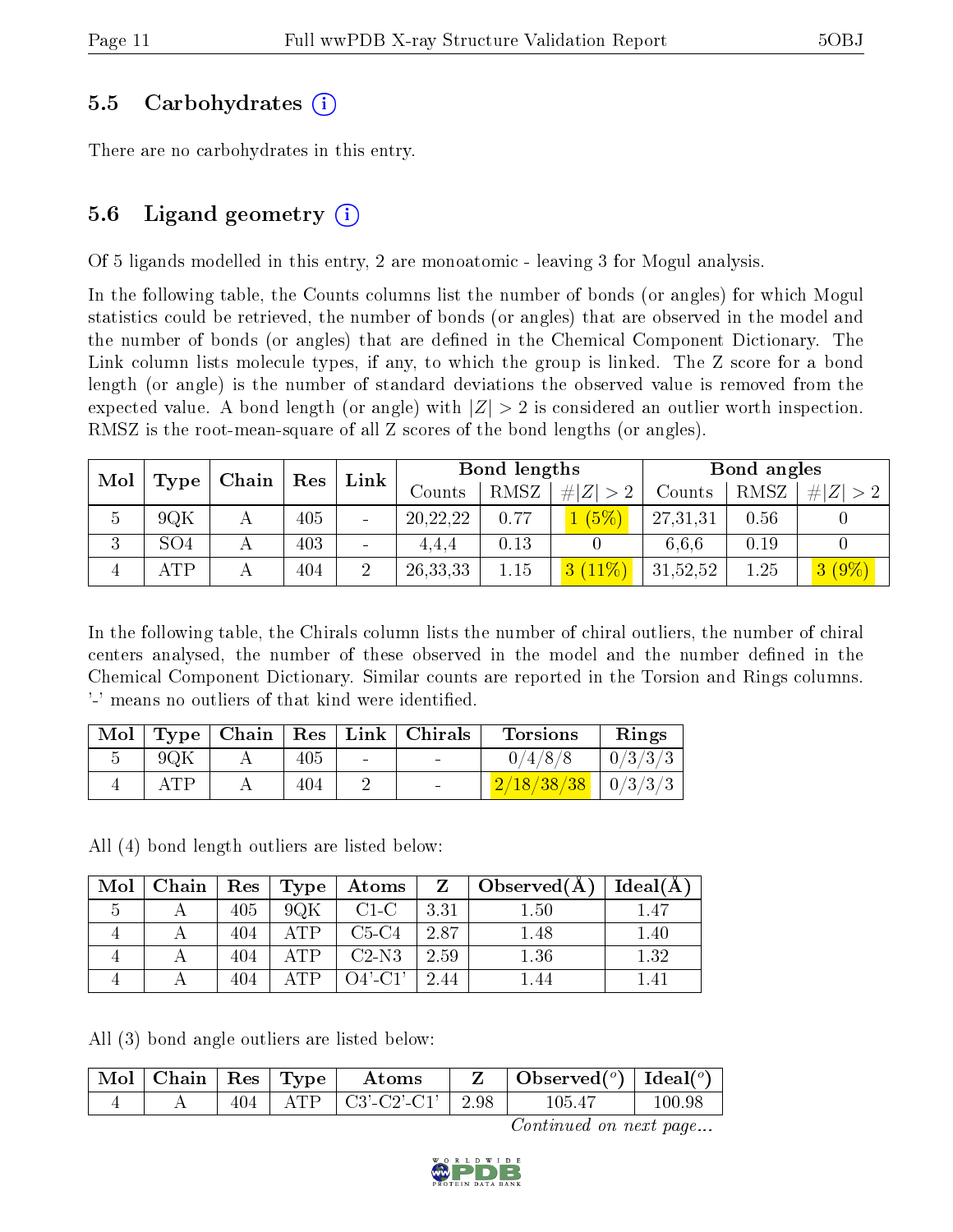#### 5.5 Carbohydrates (i)

There are no carbohydrates in this entry.

### 5.6 Ligand geometry  $(i)$

Of 5 ligands modelled in this entry, 2 are monoatomic - leaving 3 for Mogul analysis.

In the following table, the Counts columns list the number of bonds (or angles) for which Mogul statistics could be retrieved, the number of bonds (or angles) that are observed in the model and the number of bonds (or angles) that are defined in the Chemical Component Dictionary. The Link column lists molecule types, if any, to which the group is linked. The Z score for a bond length (or angle) is the number of standard deviations the observed value is removed from the expected value. A bond length (or angle) with  $|Z| > 2$  is considered an outlier worth inspection. RMSZ is the root-mean-square of all Z scores of the bond lengths (or angles).

| Mol<br>Type |                 | $ $ Chain $ $ | $\mid$ Res | Link            | Bond lengths |             |           | Bond angles |              |          |
|-------------|-----------------|---------------|------------|-----------------|--------------|-------------|-----------|-------------|--------------|----------|
|             |                 |               |            | Counts          | RMSZ         | # $ Z  > 2$ | Counts    | RMSZ        | $\# Z $<br>2 |          |
|             | 9QK             |               | 405        | -               | 20, 22, 22   | 0.77        | (5%)      | 27,31,31    | 0.56         |          |
| ച<br>Ő      | SO <sub>4</sub> |               | 403        | $\qquad \qquad$ | 4.4.4        | 0.13        |           | 6.6.6       | 0.19         |          |
| 4           | <b>ATP</b>      |               | 404        | $\overline{2}$  | 26, 33, 33   | 1.15        | $3(11\%)$ | 31,52,52    | 1.25         | $3(9\%)$ |

In the following table, the Chirals column lists the number of chiral outliers, the number of chiral centers analysed, the number of these observed in the model and the number defined in the Chemical Component Dictionary. Similar counts are reported in the Torsion and Rings columns. '-' means no outliers of that kind were identified.

|     |     | Mol   Type   Chain   Res   Link   Chirals | <b>Torsions</b>                                                    | Rings          |
|-----|-----|-------------------------------------------|--------------------------------------------------------------------|----------------|
| 9QK | 405 | $\sim$                                    | 0/4/8/8                                                            | $\mid 0/3/3/3$ |
| ATP | 404 | <b>Contract Contract</b>                  | $\left[ \frac{2/18}{38/38} \right]$ $\left[ \frac{0}{3/3} \right]$ |                |

All (4) bond length outliers are listed below:

| Mol | Chain | $\operatorname{Res}$ | Type               | $\boldsymbol{\mathrm{Atoms}}$ | $Z_{-}$ | $\Box$ Observed(A) | Ideal(A)      |
|-----|-------|----------------------|--------------------|-------------------------------|---------|--------------------|---------------|
| b   |       | 405                  | 9QK                | $C1-C$                        | 3.31    | 1.50               | 1.47          |
|     |       | 404                  | ATP                | $C5-C4$                       | 2.87    | 1.48               | 1.40          |
|     |       | 404                  | $\Delta \text{TP}$ | $C2-N3$                       | 2.59    | 1.36               | 1.32          |
|     |       | 404                  | $\Delta \text{TP}$ | $O4'$ -C1'                    | 2.44    |                    | $1.4^{\circ}$ |

All (3) bond angle outliers are listed below:

|  |     |                         | Mol   Chain   Res   Type   Atoms                                          | $\mid$ Observed( $^o$ ) $\mid$ Ideal( $^o$ ) $\mid$ |        |
|--|-----|-------------------------|---------------------------------------------------------------------------|-----------------------------------------------------|--------|
|  | 404 | $\cdot$ + ATP + $\cdot$ | $\left  \begin{array}{c c} \text{C3'-C2'-C1'} & 2.98 \end{array} \right $ | 105.47                                              | 100.98 |

Continued on next page...

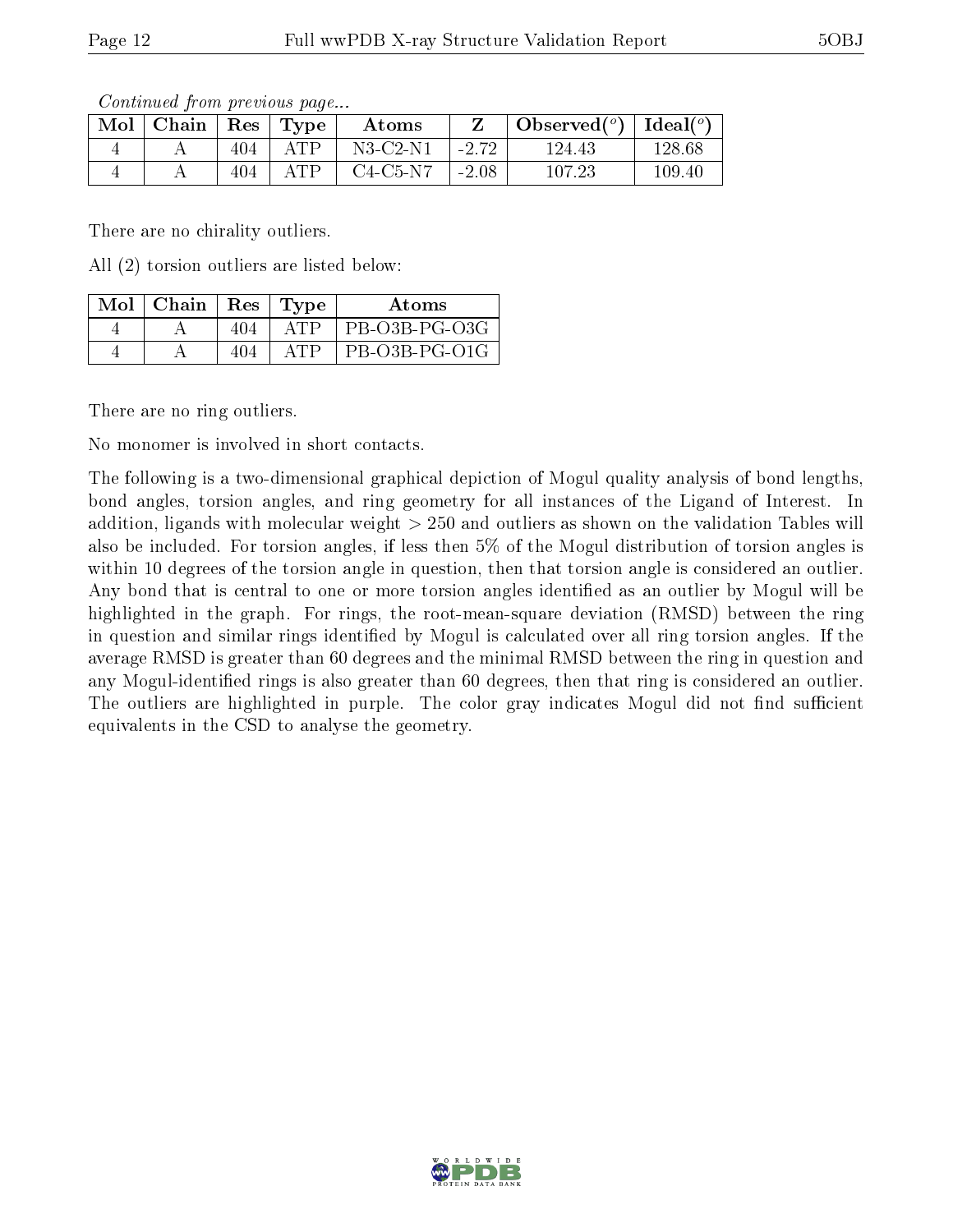Continued from previous page...

| Mol | $\blacksquare$ Chain $\mid$ Res $\mid$ Type |     |     | Atoms      |         | Observed $(°)$ | Ideal $({}^o)$ |
|-----|---------------------------------------------|-----|-----|------------|---------|----------------|----------------|
|     |                                             | 404 | ATP | $N3-C2-N1$ | $-2.72$ | 124.43         | 128.68         |
|     |                                             | 404 | ATP | C4-C5-N7   | $-2.08$ | 107.23         | $109.40\,$     |

There are no chirality outliers.

All (2) torsion outliers are listed below:

| Mol | Chain | $\operatorname{Res}$ | Type | Atoms         |
|-----|-------|----------------------|------|---------------|
|     |       | 404                  | ATP  | PB-O3B-PG-O3G |
|     |       | 404                  | A'FP | PB-O3B-PG-O1G |

There are no ring outliers.

No monomer is involved in short contacts.

The following is a two-dimensional graphical depiction of Mogul quality analysis of bond lengths, bond angles, torsion angles, and ring geometry for all instances of the Ligand of Interest. In addition, ligands with molecular weight > 250 and outliers as shown on the validation Tables will also be included. For torsion angles, if less then 5% of the Mogul distribution of torsion angles is within 10 degrees of the torsion angle in question, then that torsion angle is considered an outlier. Any bond that is central to one or more torsion angles identified as an outlier by Mogul will be highlighted in the graph. For rings, the root-mean-square deviation (RMSD) between the ring in question and similar rings identified by Mogul is calculated over all ring torsion angles. If the average RMSD is greater than 60 degrees and the minimal RMSD between the ring in question and any Mogul-identified rings is also greater than 60 degrees, then that ring is considered an outlier. The outliers are highlighted in purple. The color gray indicates Mogul did not find sufficient equivalents in the CSD to analyse the geometry.

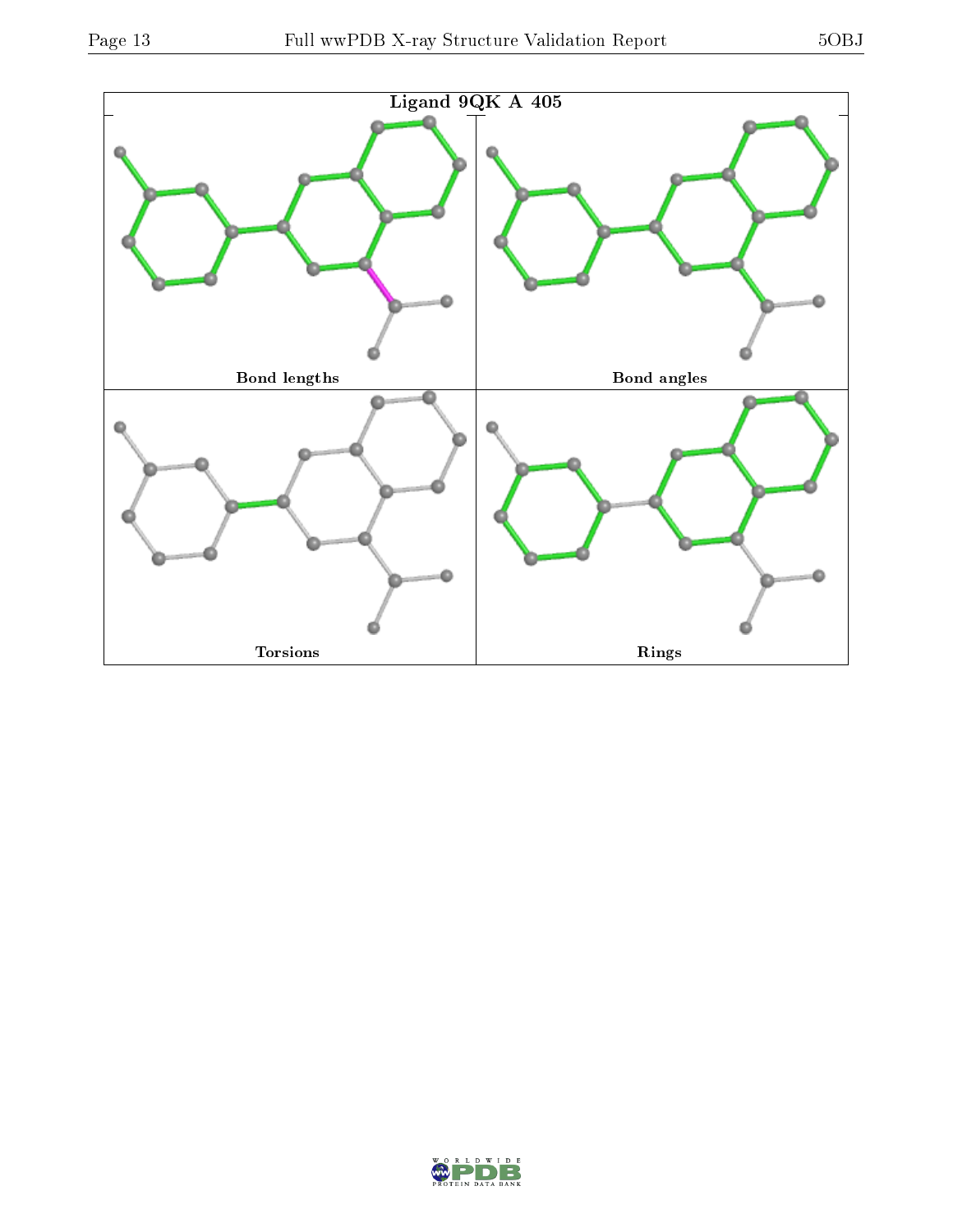

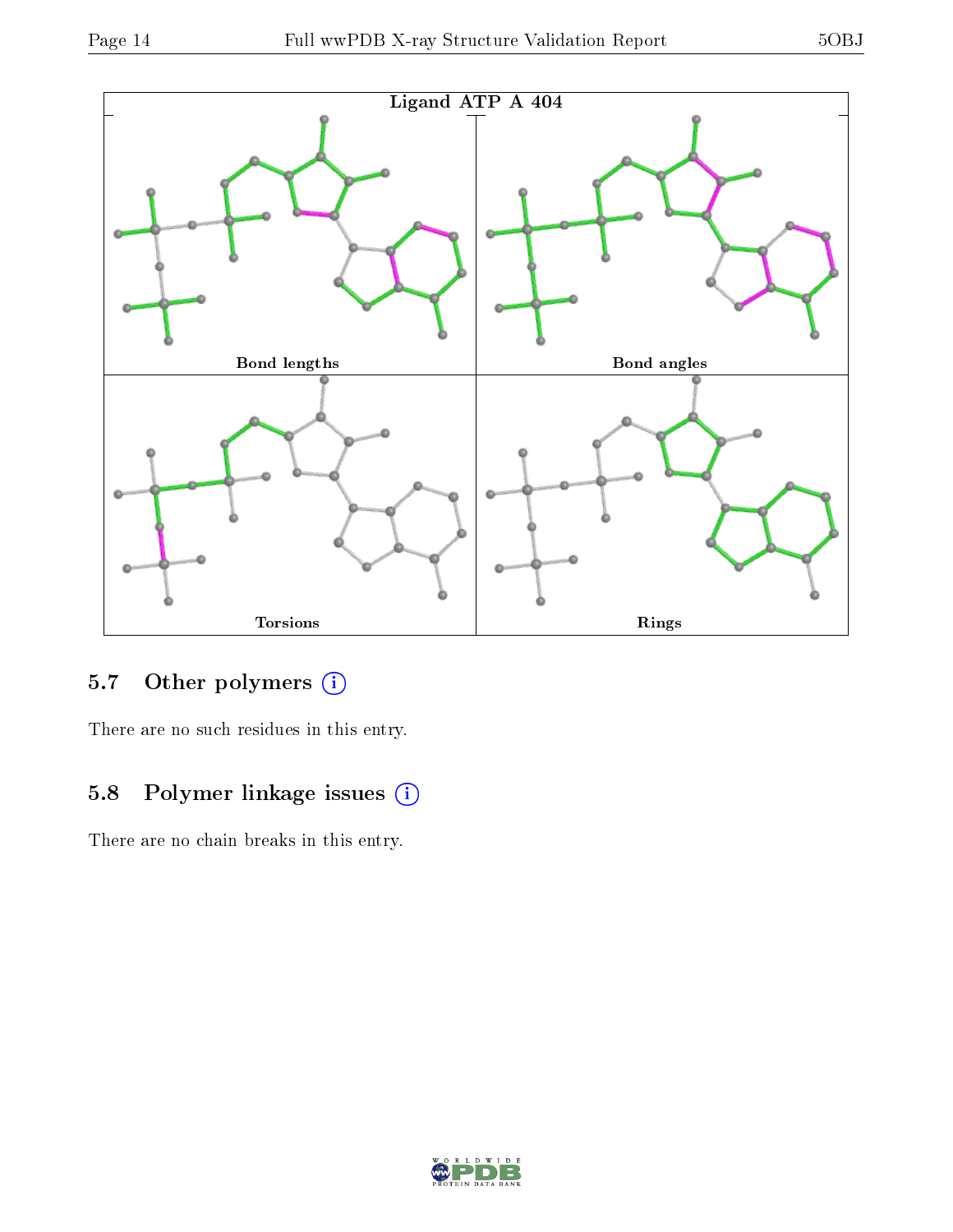

## 5.7 [O](https://www.wwpdb.org/validation/2017/XrayValidationReportHelp#nonstandard_residues_and_ligands)ther polymers (i)

There are no such residues in this entry.

## 5.8 Polymer linkage issues (i)

There are no chain breaks in this entry.

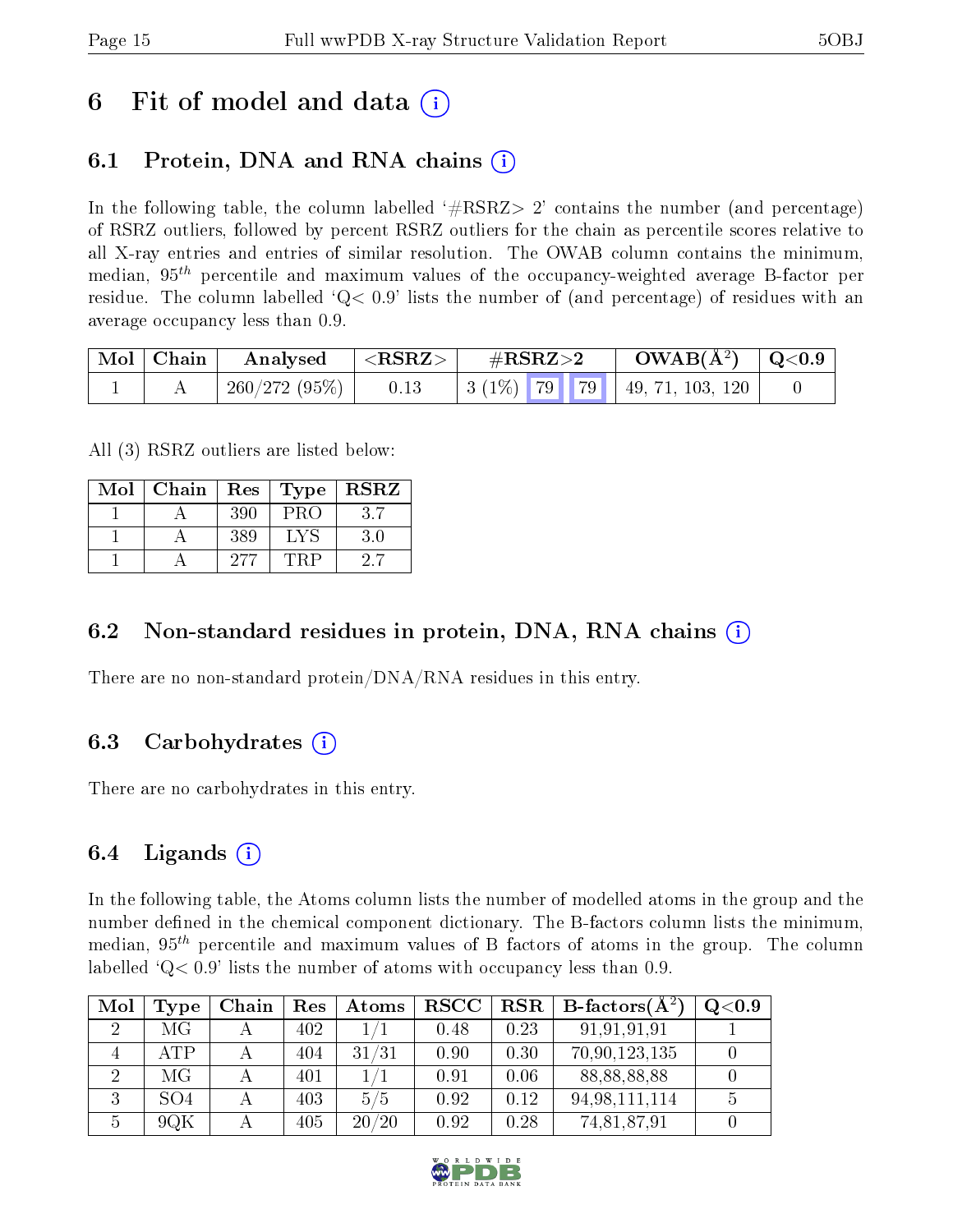## 6 Fit of model and data  $\left( \cdot \right)$

## 6.1 Protein, DNA and RNA chains (i)

In the following table, the column labelled  $#RSRZ>2'$  contains the number (and percentage) of RSRZ outliers, followed by percent RSRZ outliers for the chain as percentile scores relative to all X-ray entries and entries of similar resolution. The OWAB column contains the minimum, median,  $95<sup>th</sup>$  percentile and maximum values of the occupancy-weighted average B-factor per residue. The column labelled  $Q < 0.9$  lists the number of (and percentage) of residues with an average occupancy less than 0.9.

| $\mid$ Mol $\mid$ Chain | Analysed      | $  <$ RSRZ $>$ . | $\rm \#RSRZ{>}2$                         | $OWAB(A^2)$ | $\mid \text{Q}<$ 0.9 $\mid$ |
|-------------------------|---------------|------------------|------------------------------------------|-------------|-----------------------------|
|                         | 260/272 (95%) | 0.13             | $\vert 3 \ (1\%)$ 79 79 49, 71, 103, 120 |             |                             |

All (3) RSRZ outliers are listed below:

| Mol | Chain | Res | $\top$ Type | <b>RSRZ</b> |
|-----|-------|-----|-------------|-------------|
|     |       | 390 | PRO         |             |
|     |       | 389 | LY S        | 3.0         |
|     |       | 277 | 'RP         |             |

### 6.2 Non-standard residues in protein, DNA, RNA chains  $(i)$

There are no non-standard protein/DNA/RNA residues in this entry.

### 6.3 Carbohydrates (i)

There are no carbohydrates in this entry.

### 6.4 Ligands  $(i)$

In the following table, the Atoms column lists the number of modelled atoms in the group and the number defined in the chemical component dictionary. The B-factors column lists the minimum, median,  $95<sup>th</sup>$  percentile and maximum values of B factors of atoms in the group. The column labelled  $Q< 0.9$  lists the number of atoms with occupancy less than 0.9.

| Mol | Type            | Chain | Res | Atoms | $_{\rm RSCC}$ |      | $\text{RSR} \parallel \text{B-factors}(\AA^2)$ | Q <sub>0.9</sub> |
|-----|-----------------|-------|-----|-------|---------------|------|------------------------------------------------|------------------|
|     | МG              |       | 402 |       | 0.48          | 0.23 | 91,91,91,91                                    |                  |
|     | <b>ATP</b>      |       | 404 | 31/31 | 0.90          | 0.30 | 70,90,123,135                                  |                  |
|     | МG              |       | 401 |       | 0.91          | 0.06 | 88,88,88,88                                    |                  |
|     | SO <sub>4</sub> |       | 403 | 5/5   | 0.92          | 0.12 | 94, 98, 111, 114                               |                  |
|     | 9QK             |       | 405 | 20/20 | 0.92          | 0.28 | 74,81,87,91                                    |                  |

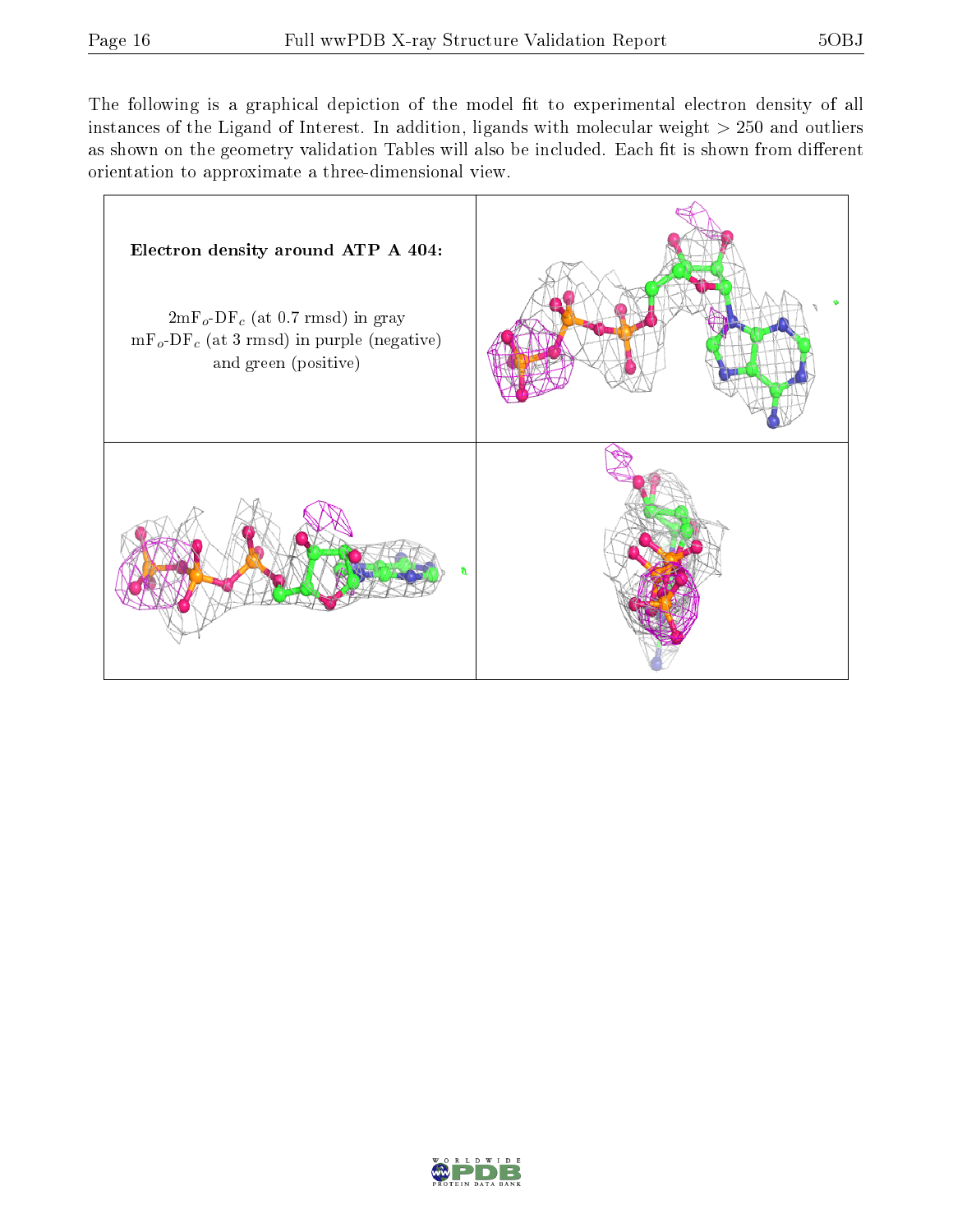The following is a graphical depiction of the model fit to experimental electron density of all instances of the Ligand of Interest. In addition, ligands with molecular weight  $> 250$  and outliers as shown on the geometry validation Tables will also be included. Each fit is shown from different orientation to approximate a three-dimensional view.